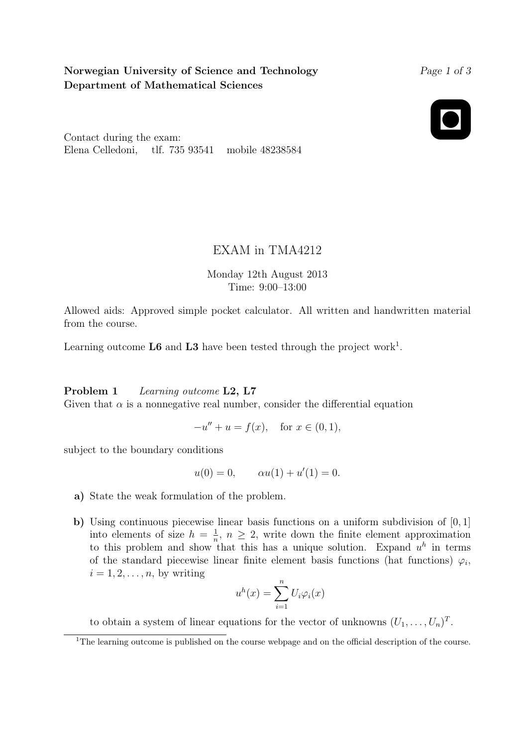## Norwegian University of Science and Technology Department of Mathematical Sciences

Page 1 of 3



Contact during the exam: Elena Celledoni, tlf. 735 93541 mobile 48238584

## EXAM in TMA4212

Monday 12th August 2013 Time: 9:00–13:00

Allowed aids: Approved simple pocket calculator. All written and handwritten material from the course.

Learning outcome  $\mathbf{L6}$  and  $\mathbf{L3}$  have been tested through the project work<sup>1</sup>.

## Problem 1 Learning outcome L2, L7

Given that  $\alpha$  is a nonnegative real number, consider the differential equation

$$
-u'' + u = f(x), \text{ for } x \in (0,1),
$$

subject to the boundary conditions

$$
u(0) = 0,
$$
  $\alpha u(1) + u'(1) = 0.$ 

- a) State the weak formulation of the problem.
- b) Using continuous piecewise linear basis functions on a uniform subdivision of [0, 1] into elements of size  $h = \frac{1}{n}$  $\frac{1}{n}$ ,  $n \geq 2$ , write down the finite element approximation to this problem and show that this has a unique solution. Expand  $u^h$  in terms of the standard piecewise linear finite element basis functions (hat functions)  $\varphi_i$ ,  $i = 1, 2, \ldots, n$ , by writing

$$
u^{h}(x) = \sum_{i=1}^{n} U_{i} \varphi_{i}(x)
$$

to obtain a system of linear equations for the vector of unknowns  $(U_1, \ldots, U_n)^T$ .

<sup>&</sup>lt;sup>1</sup>The learning outcome is published on the course webpage and on the official description of the course.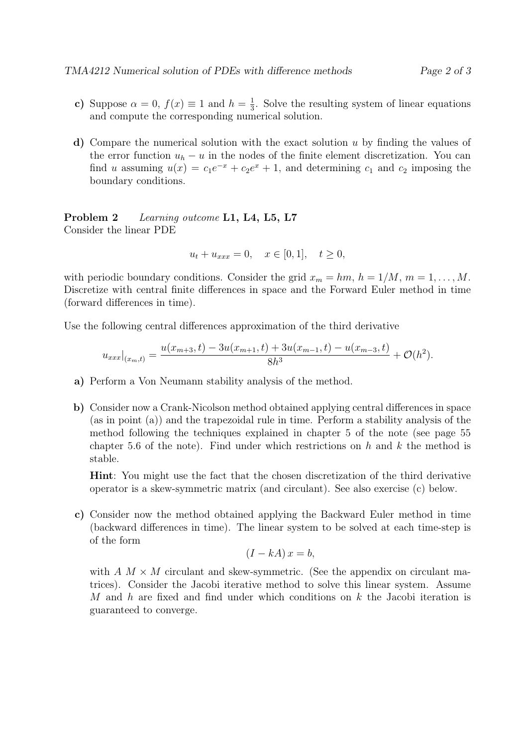- c) Suppose  $\alpha = 0$ ,  $f(x) \equiv 1$  and  $h = \frac{1}{3}$  $\frac{1}{3}$ . Solve the resulting system of linear equations and compute the corresponding numerical solution.
- d) Compare the numerical solution with the exact solution  $u$  by finding the values of the error function  $u_h - u$  in the nodes of the finite element discretization. You can find u assuming  $u(x) = c_1 e^{-x} + c_2 e^x + 1$ , and determining  $c_1$  and  $c_2$  imposing the boundary conditions.

Problem 2 Learning outcome L1, L4, L5, L7 Consider the linear PDE

$$
u_t + u_{xxx} = 0, \quad x \in [0, 1], \quad t \ge 0,
$$

with periodic boundary conditions. Consider the grid  $x_m = hm, h = 1/M, m = 1, ..., M$ . Discretize with central finite differences in space and the Forward Euler method in time (forward differences in time).

Use the following central differences approximation of the third derivative

$$
u_{xxx}|_{(x_m,t)} = \frac{u(x_{m+3},t) - 3u(x_{m+1},t) + 3u(x_{m-1},t) - u(x_{m-3},t)}{8h^3} + \mathcal{O}(h^2).
$$

- a) Perform a Von Neumann stability analysis of the method.
- b) Consider now a Crank-Nicolson method obtained applying central differences in space (as in point (a)) and the trapezoidal rule in time. Perform a stability analysis of the method following the techniques explained in chapter 5 of the note (see page 55 chapter 5.6 of the note). Find under which restrictions on h and  $k$  the method is stable.

Hint: You might use the fact that the chosen discretization of the third derivative operator is a skew-symmetric matrix (and circulant). See also exercise (c) below.

c) Consider now the method obtained applying the Backward Euler method in time (backward differences in time). The linear system to be solved at each time-step is of the form

$$
(I - kA)x = b,
$$

with  $A \, M \times M$  circulant and skew-symmetric. (See the appendix on circulant matrices). Consider the Jacobi iterative method to solve this linear system. Assume M and h are fixed and find under which conditions on  $k$  the Jacobi iteration is guaranteed to converge.